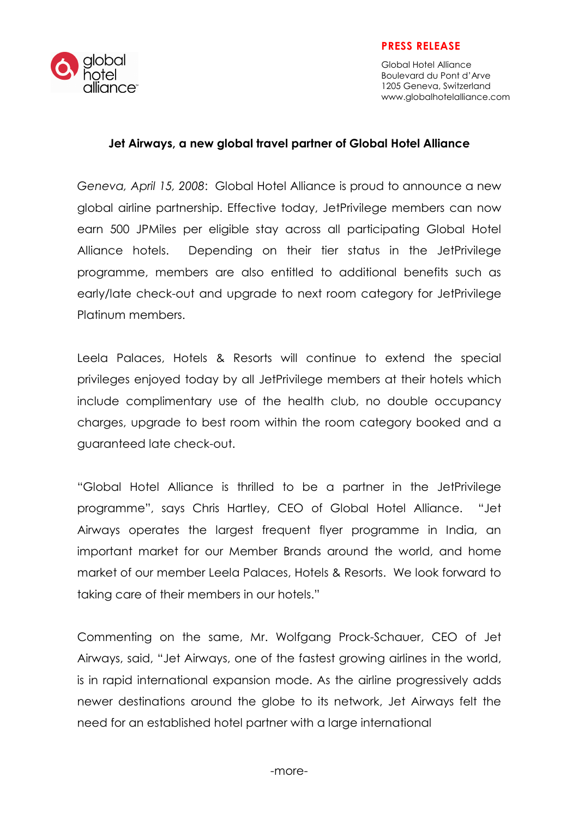

alobal alliance<sup>®</sup>

Global Hotel Alliance Boulevard du Pont d'Arve 1205 Geneva, Switzerland www.globalhotelalliance.com

#### Jet Airways, a new global travel partner of Global Hotel Alliance

Geneva, April 15, 2008: Global Hotel Alliance is proud to announce a new global airline partnership. Effective today, JetPrivilege members can now earn 500 JPMiles per eligible stay across all participating Global Hotel Alliance hotels. Depending on their tier status in the JetPrivilege programme, members are also entitled to additional benefits such as early/late check-out and upgrade to next room category for JetPrivilege Platinum members.

Leela Palaces, Hotels & Resorts will continue to extend the special privileges enjoyed today by all JetPrivilege members at their hotels which include complimentary use of the health club, no double occupancy charges, upgrade to best room within the room category booked and a guaranteed late check-out.

"Global Hotel Alliance is thrilled to be a partner in the JetPrivilege programme", says Chris Hartley, CEO of Global Hotel Alliance. "Jet Airways operates the largest frequent flyer programme in India, an important market for our Member Brands around the world, and home market of our member Leela Palaces, Hotels & Resorts. We look forward to taking care of their members in our hotels."

Commenting on the same, Mr. Wolfgang Prock-Schauer, CEO of Jet Airways, said, "Jet Airways, one of the fastest growing airlines in the world, is in rapid international expansion mode. As the airline progressively adds newer destinations around the globe to its network, Jet Airways felt the need for an established hotel partner with a large international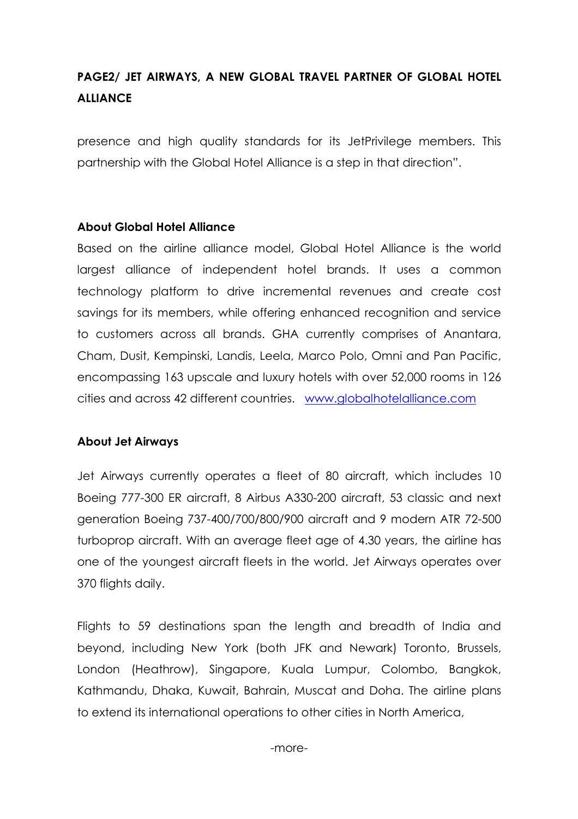# PAGE2/ JET AIRWAYS, A NEW GLOBAL TRAVEL PARTNER OF GLOBAL HOTEL **ALLIANCE**

presence and high quality standards for its JetPrivilege members. This partnership with the Global Hotel Alliance is a step in that direction".

### About Global Hotel Alliance

Based on the airline alliance model, Global Hotel Alliance is the world largest alliance of independent hotel brands. It uses a common technology platform to drive incremental revenues and create cost savings for its members, while offering enhanced recognition and service to customers across all brands. GHA currently comprises of Anantara, Cham, Dusit, Kempinski, Landis, Leela, Marco Polo, Omni and Pan Pacific, encompassing 163 upscale and luxury hotels with over 52,000 rooms in 126 cities and across 42 different countries. www.globalhotelalliance.com

### About Jet Airways

Jet Airways currently operates a fleet of 80 aircraft, which includes 10 Boeing 777-300 ER aircraft, 8 Airbus A330-200 aircraft, 53 classic and next generation Boeing 737-400/700/800/900 aircraft and 9 modern ATR 72-500 turboprop aircraft. With an average fleet age of 4.30 years, the airline has one of the youngest aircraft fleets in the world. Jet Airways operates over 370 flights daily.

Flights to 59 destinations span the length and breadth of India and beyond, including New York (both JFK and Newark) Toronto, Brussels, London (Heathrow), Singapore, Kuala Lumpur, Colombo, Bangkok, Kathmandu, Dhaka, Kuwait, Bahrain, Muscat and Doha. The airline plans to extend its international operations to other cities in North America,